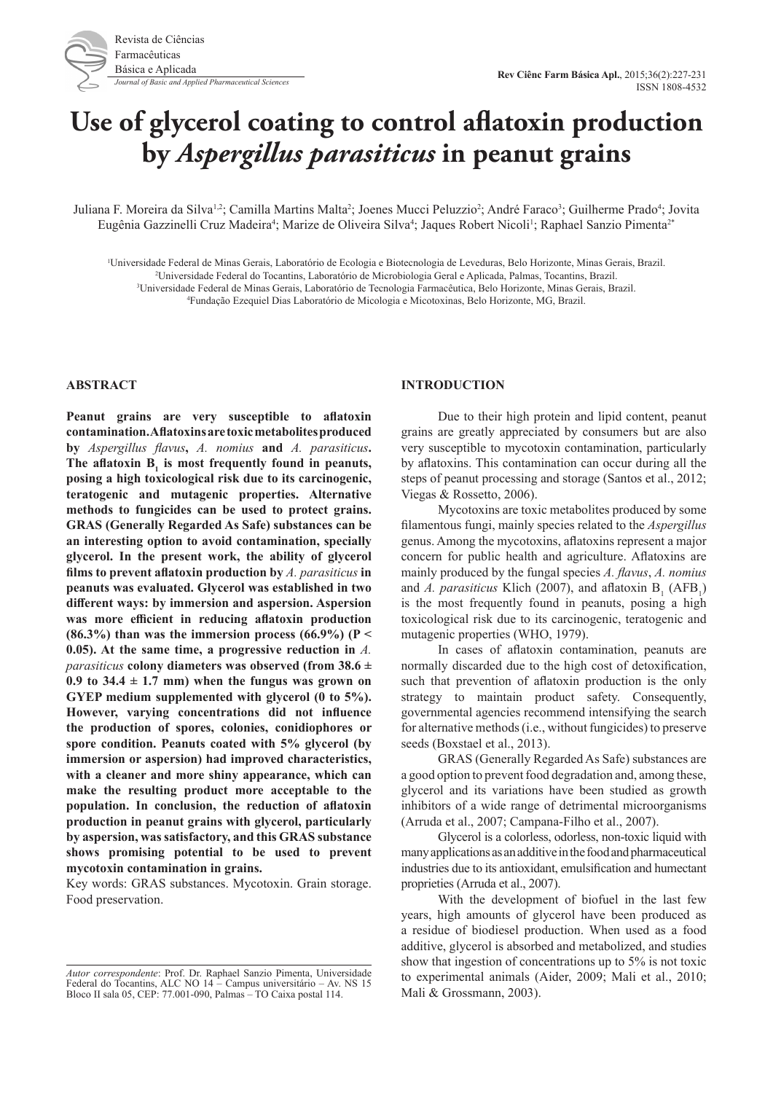# **Use of glycerol coating to control aflatoxin production by** *Aspergillus parasiticus* **in peanut grains**

Juliana F. Moreira da Silva<sup>1,2</sup>; Camilla Martins Malta<sup>2</sup>; Joenes Mucci Peluzzio<sup>2</sup>; André Faraco<sup>3</sup>; Guilherme Prado<sup>4</sup>; Jovita Eugênia Gazzinelli Cruz Madeira<sup>4</sup>; Marize de Oliveira Silva<sup>4</sup>; Jaques Robert Nicoli<sup>1</sup>; Raphael Sanzio Pimenta<sup>2</sup>\*

1 Universidade Federal de Minas Gerais, Laboratório de Ecologia e Biotecnologia de Leveduras, Belo Horizonte, Minas Gerais, Brazil.

2 Universidade Federal do Tocantins, Laboratório de Microbiologia Geral e Aplicada, Palmas, Tocantins, Brazil.

3 Universidade Federal de Minas Gerais, Laboratório de Tecnologia Farmacêutica, Belo Horizonte, Minas Gerais, Brazil.

4 Fundação Ezequiel Dias Laboratório de Micologia e Micotoxinas, Belo Horizonte, MG, Brazil.

#### **ABSTRACT**

**Peanut grains are very susceptible to aflatoxin contamination. Aflatoxins are toxic metabolites produced by** *Aspergillus flavus***,** *A. nomius* **and** *A. parasiticus***.**  The aflatoxin  $B_1$  is most frequently found in peanuts, **posing a high toxicological risk due to its carcinogenic, teratogenic and mutagenic properties. Alternative methods to fungicides can be used to protect grains. GRAS (Generally Regarded As Safe) substances can be an interesting option to avoid contamination, specially glycerol. In the present work, the ability of glycerol films to prevent aflatoxin production by** *A. parasiticus* **in peanuts was evaluated. Glycerol was established in two different ways: by immersion and aspersion. Aspersion was more efficient in reducing aflatoxin production**   $(86.3\%)$  than was the immersion process  $(66.9\%)$  (P < **0.05). At the same time, a progressive reduction in** *A. parasiticus* **colony diameters was observed (from 38.6 ±**   $0.9$  to  $34.4 \pm 1.7$  mm) when the fungus was grown on **GYEP medium supplemented with glycerol (0 to 5%). However, varying concentrations did not influence the production of spores, colonies, conidiophores or spore condition. Peanuts coated with 5% glycerol (by immersion or aspersion) had improved characteristics, with a cleaner and more shiny appearance, which can make the resulting product more acceptable to the population. In conclusion, the reduction of aflatoxin production in peanut grains with glycerol, particularly by aspersion, was satisfactory, and this GRAS substance shows promising potential to be used to prevent mycotoxin contamination in grains.**

Key words: GRAS substances. Mycotoxin. Grain storage. Food preservation.

#### **INTRODUCTION**

Due to their high protein and lipid content, peanut grains are greatly appreciated by consumers but are also very susceptible to mycotoxin contamination, particularly by aflatoxins. This contamination can occur during all the steps of peanut processing and storage (Santos et al., 2012; Viegas & Rossetto, 2006).

Mycotoxins are toxic metabolites produced by some filamentous fungi, mainly species related to the *Aspergillus* genus. Among the mycotoxins, aflatoxins represent a major concern for public health and agriculture. Aflatoxins are mainly produced by the fungal species *A. flavus*, *A. nomius* and *A. parasiticus* Klich (2007), and aflatoxin  $B_1$  (AFB<sub>1</sub>) is the most frequently found in peanuts, posing a high toxicological risk due to its carcinogenic, teratogenic and mutagenic properties (WHO, 1979).

In cases of aflatoxin contamination, peanuts are normally discarded due to the high cost of detoxification, such that prevention of aflatoxin production is the only strategy to maintain product safety. Consequently, governmental agencies recommend intensifying the search for alternative methods (i.e., without fungicides) to preserve seeds (Boxstael et al., 2013).

GRAS (Generally Regarded As Safe) substances are a good option to prevent food degradation and, among these, glycerol and its variations have been studied as growth inhibitors of a wide range of detrimental microorganisms (Arruda et al., 2007; Campana-Filho et al., 2007).

Glycerol is a colorless, odorless, non-toxic liquid with many applications as an additive in the food and pharmaceutical industries due to its antioxidant, emulsification and humectant proprieties (Arruda et al., 2007).

With the development of biofuel in the last few years, high amounts of glycerol have been produced as a residue of biodiesel production. When used as a food additive, glycerol is absorbed and metabolized, and studies show that ingestion of concentrations up to 5% is not toxic to experimental animals (Aider, 2009; Mali et al., 2010; Mali & Grossmann, 2003).

*Autor correspondente*: Prof. Dr. Raphael Sanzio Pimenta, Universidade Federal do Tocantins, ALC NO 14 – Campus universitário – Av. NS 15 Bloco II sala 05, CEP: 77.001-090, Palmas – TO Caixa postal 114.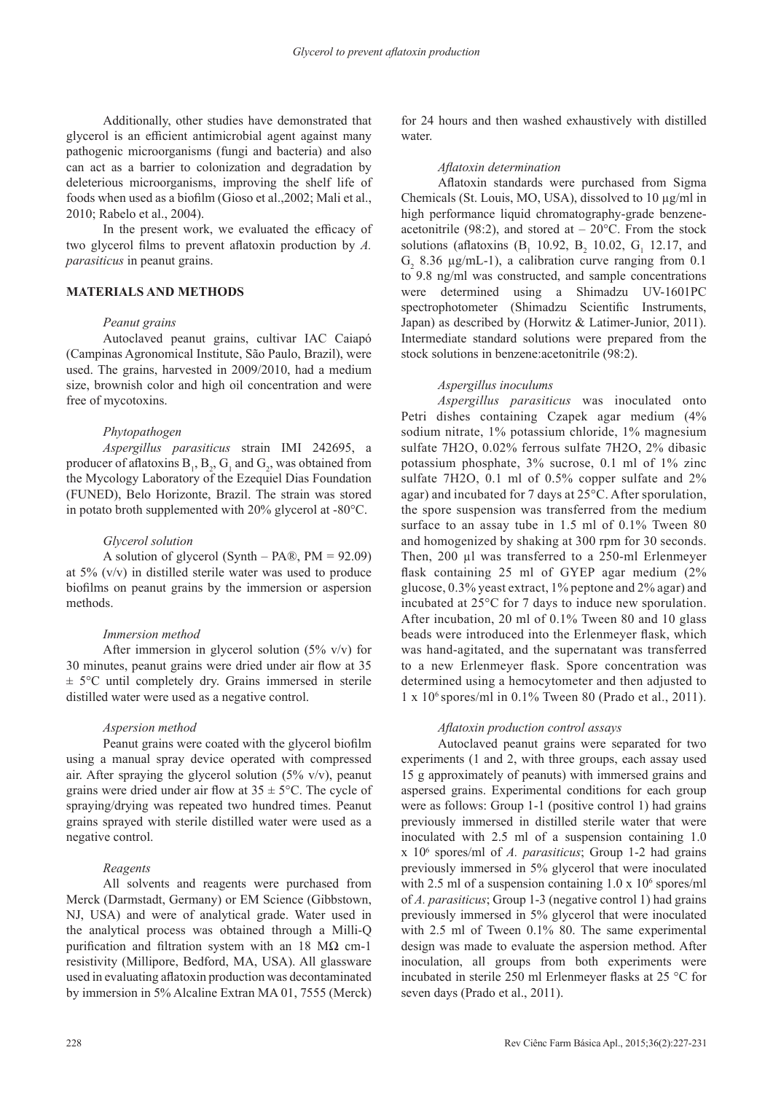Additionally, other studies have demonstrated that glycerol is an efficient antimicrobial agent against many pathogenic microorganisms (fungi and bacteria) and also can act as a barrier to colonization and degradation by deleterious microorganisms, improving the shelf life of foods when used as a biofilm (Gioso et al.,2002; Mali et al., 2010; Rabelo et al., 2004).

In the present work, we evaluated the efficacy of two glycerol films to prevent aflatoxin production by *A. parasiticus* in peanut grains.

## **MATERIALS AND METHODS**

#### *Peanut grains*

Autoclaved peanut grains, cultivar IAC Caiapó (Campinas Agronomical Institute, São Paulo, Brazil), were used. The grains, harvested in 2009/2010, had a medium size, brownish color and high oil concentration and were free of mycotoxins.

#### *Phytopathogen*

*Aspergillus parasiticus* strain IMI 242695, a producer of aflatoxins  $B_1$ ,  $B_2$ ,  $G_1$  and  $G_2$ , was obtained from the Mycology Laboratory of the Ezequiel Dias Foundation (FUNED), Belo Horizonte, Brazil. The strain was stored in potato broth supplemented with 20% glycerol at -80°C.

#### *Glycerol solution*

A solution of glycerol (Synth – PA®, PM =  $92.09$ ) at 5% (v/v) in distilled sterile water was used to produce biofilms on peanut grains by the immersion or aspersion methods.

#### *Immersion method*

After immersion in glycerol solution (5% v/v) for 30 minutes, peanut grains were dried under air flow at 35  $\pm$  5°C until completely dry. Grains immersed in sterile distilled water were used as a negative control.

#### *Aspersion method*

Peanut grains were coated with the glycerol biofilm using a manual spray device operated with compressed air. After spraying the glycerol solution  $(5\% \text{ v/v})$ , peanut grains were dried under air flow at  $35 \pm 5^{\circ}$ C. The cycle of spraying/drying was repeated two hundred times. Peanut grains sprayed with sterile distilled water were used as a negative control.

#### *Reagents*

All solvents and reagents were purchased from Merck (Darmstadt, Germany) or EM Science (Gibbstown, NJ, USA) and were of analytical grade. Water used in the analytical process was obtained through a Milli-Q purification and filtration system with an 18 M $\Omega$  cm-1 resistivity (Millipore, Bedford, MA, USA). All glassware used in evaluating aflatoxin production was decontaminated by immersion in 5% Alcaline Extran MA 01, 7555 (Merck)

for 24 hours and then washed exhaustively with distilled water.

#### *Aflatoxin determination*

Aflatoxin standards were purchased from Sigma Chemicals (St. Louis, MO, USA), dissolved to 10 µg/ml in high performance liquid chromatography-grade benzeneacetonitrile (98:2), and stored at  $-20^{\circ}$ C. From the stock solutions (aflatoxins  $(B_1 10.92, B_2 10.02, G_1 12.17, and$  $G_2$  8.36  $\mu$ g/mL-1), a calibration curve ranging from 0.1 to 9.8 ng/ml was constructed, and sample concentrations were determined using a Shimadzu UV-1601PC spectrophotometer (Shimadzu Scientific Instruments, Japan) as described by (Horwitz & Latimer-Junior, 2011). Intermediate standard solutions were prepared from the stock solutions in benzene:acetonitrile (98:2).

#### *Aspergillus inoculums*

*Aspergillus parasiticus* was inoculated onto Petri dishes containing Czapek agar medium (4% sodium nitrate, 1% potassium chloride, 1% magnesium sulfate 7H2O, 0.02% ferrous sulfate 7H2O, 2% dibasic potassium phosphate, 3% sucrose, 0.1 ml of 1% zinc sulfate 7H2O, 0.1 ml of 0.5% copper sulfate and 2% agar) and incubated for 7 days at 25°C. After sporulation, the spore suspension was transferred from the medium surface to an assay tube in 1.5 ml of 0.1% Tween 80 and homogenized by shaking at 300 rpm for 30 seconds. Then, 200 µl was transferred to a 250-ml Erlenmeyer flask containing 25 ml of GYEP agar medium (2% glucose, 0.3% yeast extract, 1% peptone and 2% agar) and incubated at 25°C for 7 days to induce new sporulation. After incubation, 20 ml of 0.1% Tween 80 and 10 glass beads were introduced into the Erlenmeyer flask, which was hand-agitated, and the supernatant was transferred to a new Erlenmeyer flask. Spore concentration was determined using a hemocytometer and then adjusted to 1 x 106 spores/ml in 0.1% Tween 80 (Prado et al., 2011).

#### *Aflatoxin production control assays*

Autoclaved peanut grains were separated for two experiments (1 and 2, with three groups, each assay used 15 g approximately of peanuts) with immersed grains and aspersed grains. Experimental conditions for each group were as follows: Group 1-1 (positive control 1) had grains previously immersed in distilled sterile water that were inoculated with 2.5 ml of a suspension containing 1.0 x 106 spores/ml of *A. parasiticus*; Group 1-2 had grains previously immersed in 5% glycerol that were inoculated with 2.5 ml of a suspension containing  $1.0 \times 10^6$  spores/ml of *A. parasiticus*; Group 1-3 (negative control 1) had grains previously immersed in 5% glycerol that were inoculated with 2.5 ml of Tween 0.1% 80. The same experimental design was made to evaluate the aspersion method. After inoculation, all groups from both experiments were incubated in sterile 250 ml Erlenmeyer flasks at 25 °C for seven days (Prado et al., 2011).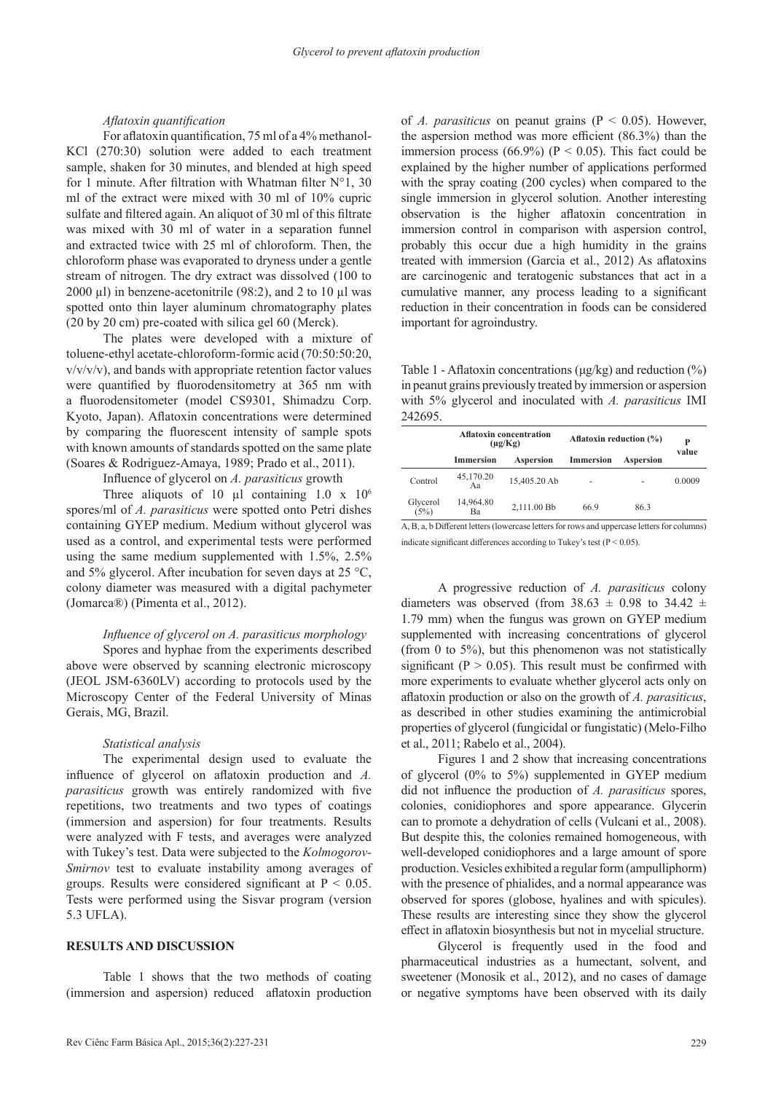## *Aflatoxin quantification*

For aflatoxin quantification, 75 ml of a 4% methanol-KCl (270:30) solution were added to each treatment sample, shaken for 30 minutes, and blended at high speed for 1 minute. After filtration with Whatman filter  $N^{\circ}1$ , 30 ml of the extract were mixed with 30 ml of 10% cupric sulfate and filtered again. An aliquot of 30 ml of this filtrate was mixed with 30 ml of water in a separation funnel and extracted twice with 25 ml of chloroform. Then, the chloroform phase was evaporated to dryness under a gentle stream of nitrogen. The dry extract was dissolved (100 to 2000  $\mu$ l) in benzene-acetonitrile (98:2), and 2 to 10  $\mu$ l was spotted onto thin layer aluminum chromatography plates (20 by 20 cm) pre-coated with silica gel 60 (Merck).

The plates were developed with a mixture of toluene-ethyl acetate-chloroform-formic acid (70:50:50:20, v/v/v/v), and bands with appropriate retention factor values were quantified by fluorodensitometry at 365 nm with a fluorodensitometer (model CS9301, Shimadzu Corp. Kyoto, Japan). Aflatoxin concentrations were determined by comparing the fluorescent intensity of sample spots with known amounts of standards spotted on the same plate (Soares & Rodriguez-Amaya, 1989; Prado et al., 2011).

Influence of glycerol on *A. parasiticus* growth

Three aliquots of 10  $\mu$ l containing 1.0 x 10<sup>6</sup> spores/ml of *A. parasiticus* were spotted onto Petri dishes containing GYEP medium. Medium without glycerol was used as a control, and experimental tests were performed using the same medium supplemented with 1.5%, 2.5% and 5% glycerol. After incubation for seven days at 25 °C, colony diameter was measured with a digital pachymeter (Jomarca®) (Pimenta et al., 2012).

## *Influence of glycerol on A. parasiticus morphology*

Spores and hyphae from the experiments described above were observed by scanning electronic microscopy (JEOL JSM-6360LV) according to protocols used by the Microscopy Center of the Federal University of Minas Gerais, MG, Brazil.

#### *Statistical analysis*

The experimental design used to evaluate the influence of glycerol on aflatoxin production and *A. parasiticus* growth was entirely randomized with five repetitions, two treatments and two types of coatings (immersion and aspersion) for four treatments. Results were analyzed with F tests, and averages were analyzed with Tukey's test. Data were subjected to the *Kolmogorov-Smirnov* test to evaluate instability among averages of groups. Results were considered significant at  $P < 0.05$ . Tests were performed using the Sisvar program (version 5.3 UFLA).

## **RESULTS AND DISCUSSION**

Table 1 shows that the two methods of coating (immersion and aspersion) reduced aflatoxin production of *A. parasiticus* on peanut grains (P < 0.05). However, the aspersion method was more efficient (86.3%) than the immersion process (66.9%) ( $P < 0.05$ ). This fact could be explained by the higher number of applications performed with the spray coating (200 cycles) when compared to the single immersion in glycerol solution. Another interesting observation is the higher aflatoxin concentration in immersion control in comparison with aspersion control, probably this occur due a high humidity in the grains treated with immersion (Garcia et al., 2012) As aflatoxins are carcinogenic and teratogenic substances that act in a cumulative manner, any process leading to a significant reduction in their concentration in foods can be considered important for agroindustry.

Table 1 - Aflatoxin concentrations (μg/kg) and reduction (%) in peanut grains previously treated by immersion or aspersion with 5% glycerol and inoculated with *A. parasiticus* IMI 242695.

|                  | <b>Aflatoxin concentration</b><br>$(\mu g/Kg)$ |              | Aflatoxin reduction (%) |           | P      |
|------------------|------------------------------------------------|--------------|-------------------------|-----------|--------|
|                  | <b>Immersion</b>                               | Aspersion    | <b>Immersion</b>        | Aspersion | value  |
| Control          | 45,170.20<br>Aа                                | 15.405.20 Ab |                         |           | 0.0009 |
| Glycerol<br>(5%) | 14,964.80<br>Ba                                | 2.111.00 Bb  | 66.9                    | 86.3      |        |

A, B, a, b Different letters (lowercase letters for rows and uppercase letters for columns) indicate significant differences according to Tukey's test ( $P < 0.05$ ).

A progressive reduction of *A. parasiticus* colony diameters was observed (from  $38.63 \pm 0.98$  to  $34.42 \pm$ 1.79 mm) when the fungus was grown on GYEP medium supplemented with increasing concentrations of glycerol (from 0 to 5%), but this phenomenon was not statistically significant ( $P > 0.05$ ). This result must be confirmed with more experiments to evaluate whether glycerol acts only on aflatoxin production or also on the growth of *A. parasiticus*, as described in other studies examining the antimicrobial properties of glycerol (fungicidal or fungistatic) (Melo-Filho et al., 2011; Rabelo et al., 2004).

Figures 1 and 2 show that increasing concentrations of glycerol (0% to 5%) supplemented in GYEP medium did not influence the production of *A. parasiticus* spores, colonies, conidiophores and spore appearance. Glycerin can to promote a dehydration of cells (Vulcani et al., 2008). But despite this, the colonies remained homogeneous, with well-developed conidiophores and a large amount of spore production. Vesicles exhibited a regular form (ampulliphorm) with the presence of phialides, and a normal appearance was observed for spores (globose, hyalines and with spicules). These results are interesting since they show the glycerol effect in aflatoxin biosynthesis but not in mycelial structure.

Glycerol is frequently used in the food and pharmaceutical industries as a humectant, solvent, and sweetener (Monosik et al., 2012), and no cases of damage or negative symptoms have been observed with its daily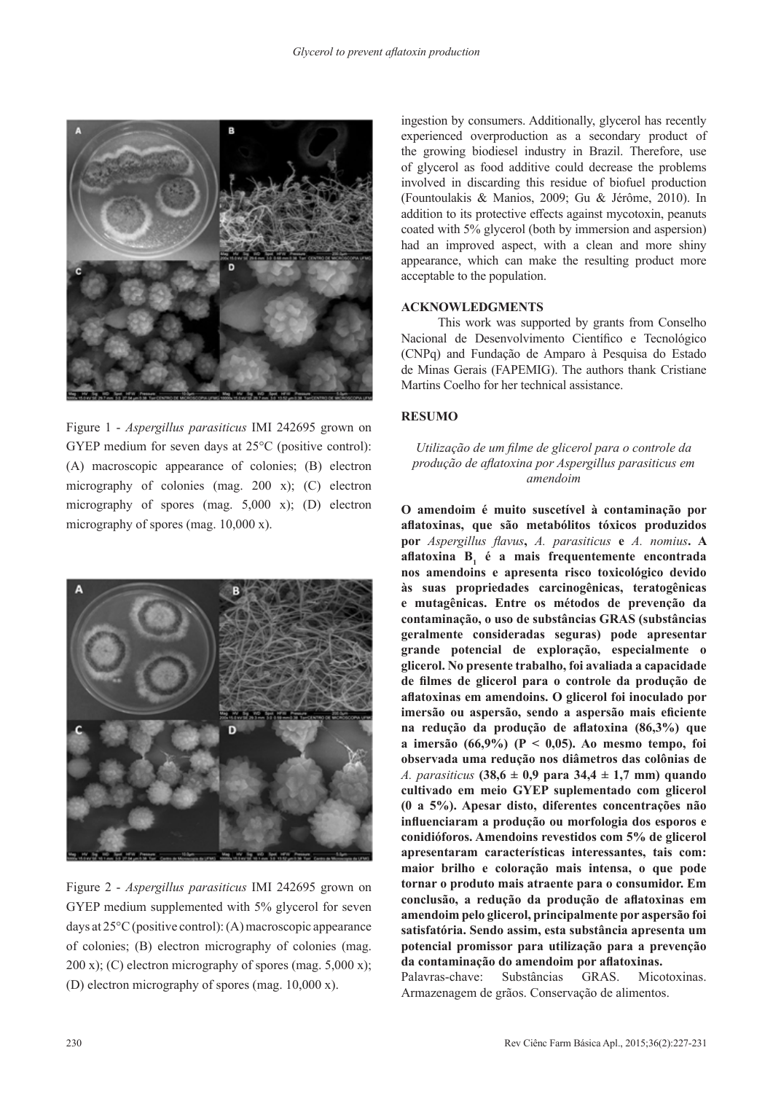

Figure 1 - *Aspergillus parasiticus* IMI 242695 grown on GYEP medium for seven days at 25°C (positive control): (A) macroscopic appearance of colonies; (B) electron micrography of colonies (mag. 200 x); (C) electron micrography of spores (mag. 5,000 x); (D) electron micrography of spores (mag. 10,000 x).



Figure 2 - *Aspergillus parasiticus* IMI 242695 grown on GYEP medium supplemented with 5% glycerol for seven days at 25°C (positive control): (A) macroscopic appearance of colonies; (B) electron micrography of colonies (mag. 200 x); (C) electron micrography of spores (mag.  $5,000$  x); (D) electron micrography of spores (mag. 10,000 x).

ingestion by consumers. Additionally, glycerol has recently experienced overproduction as a secondary product of the growing biodiesel industry in Brazil. Therefore, use of glycerol as food additive could decrease the problems involved in discarding this residue of biofuel production (Fountoulakis & Manios, 2009; Gu & Jérôme, 2010). In addition to its protective effects against mycotoxin, peanuts coated with 5% glycerol (both by immersion and aspersion) had an improved aspect, with a clean and more shiny appearance, which can make the resulting product more acceptable to the population.

## **ACKNOWLEDGMENTS**

This work was supported by grants from Conselho Nacional de Desenvolvimento Científico e Tecnológico (CNPq) and Fundação de Amparo à Pesquisa do Estado de Minas Gerais (FAPEMIG). The authors thank Cristiane Martins Coelho for her technical assistance.

## **RESUMO**

# *Utilização de um filme de glicerol para o controle da produção de aflatoxina por Aspergillus parasiticus em amendoim*

**O amendoim é muito suscetível à contaminação por aflatoxinas, que são metabólitos tóxicos produzidos por** *Aspergillus flavus***,** *A. parasiticus* **e** *A. nomius***. A aflatoxina B<sup>1</sup> é a mais frequentemente encontrada nos amendoins e apresenta risco toxicológico devido às suas propriedades carcinogênicas, teratogênicas e mutagênicas. Entre os métodos de prevenção da contaminação, o uso de substâncias GRAS (substâncias geralmente consideradas seguras) pode apresentar grande potencial de exploração, especialmente o glicerol. No presente trabalho, foi avaliada a capacidade de filmes de glicerol para o controle da produção de aflatoxinas em amendoins. O glicerol foi inoculado por imersão ou aspersão, sendo a aspersão mais eficiente na redução da produção de aflatoxina (86,3%) que a imersão (66,9%) (P < 0,05). Ao mesmo tempo, foi observada uma redução nos diâmetros das colônias de**  *A. parasiticus* **(38,6 ± 0,9 para 34,4 ± 1,7 mm) quando cultivado em meio GYEP suplementado com glicerol (0 a 5%). Apesar disto, diferentes concentrações não influenciaram a produção ou morfologia dos esporos e conidióforos. Amendoins revestidos com 5% de glicerol apresentaram características interessantes, tais com: maior brilho e coloração mais intensa, o que pode tornar o produto mais atraente para o consumidor. Em conclusão, a redução da produção de aflatoxinas em amendoim pelo glicerol, principalmente por aspersão foi satisfatória. Sendo assim, esta substância apresenta um potencial promissor para utilização para a prevenção da contaminação do amendoim por aflatoxinas.**

Palavras-chave: Substâncias GRAS. Micotoxinas. Armazenagem de grãos. Conservação de alimentos.